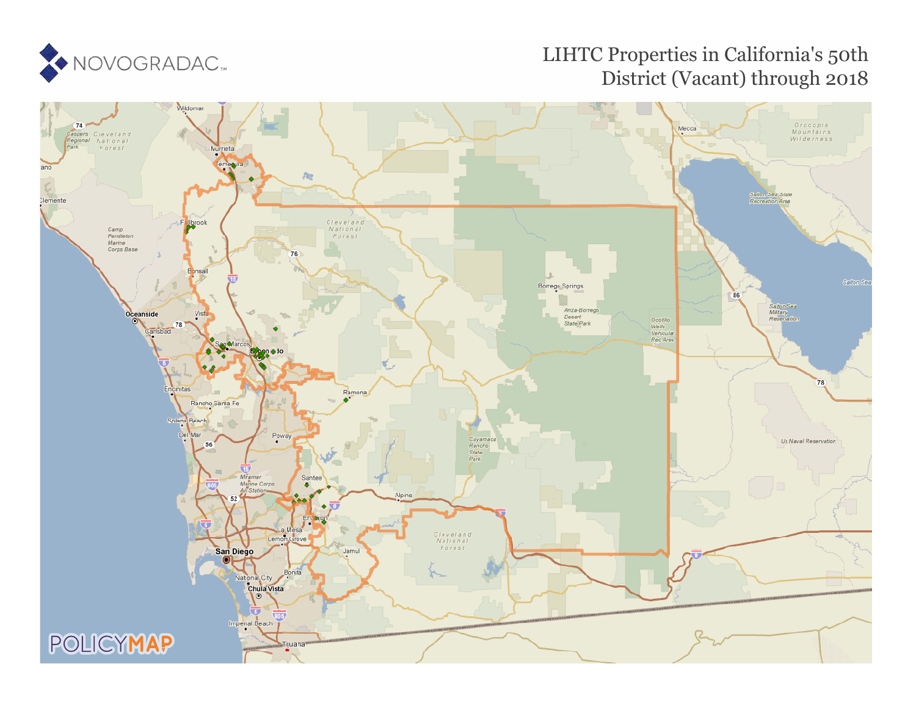

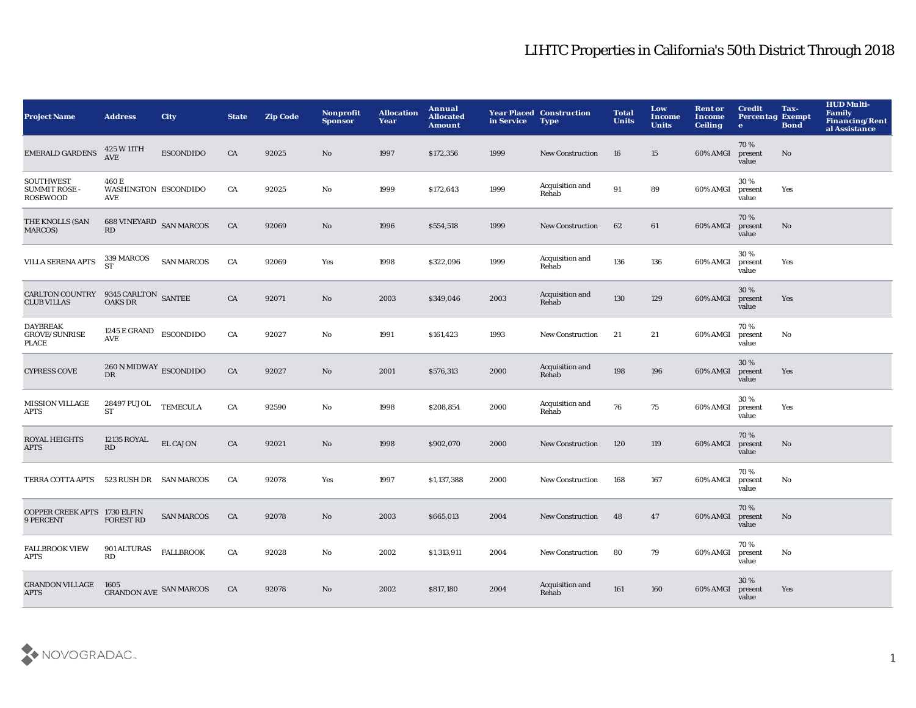| <b>Project Name</b>                                         | <b>Address</b>                                            | <b>City</b>       | <b>State</b> | <b>Zip Code</b> | <b>Nonprofit</b><br><b>Sponsor</b> | <b>Allocation</b><br>Year | Annual<br><b>Allocated</b><br><b>Amount</b> | in Service | <b>Year Placed Construction</b><br><b>Type</b> | <b>Total</b><br><b>Units</b> | Low<br>Income<br><b>Units</b> | <b>Rent or</b><br>Income<br><b>Ceiling</b> | <b>Credit</b><br><b>Percentag Exempt</b><br>$\bullet$ | Tax-<br><b>Bond</b> | <b>HUD Multi-</b><br>Family<br><b>Financing/Rent</b><br>al Assistance |
|-------------------------------------------------------------|-----------------------------------------------------------|-------------------|--------------|-----------------|------------------------------------|---------------------------|---------------------------------------------|------------|------------------------------------------------|------------------------------|-------------------------------|--------------------------------------------|-------------------------------------------------------|---------------------|-----------------------------------------------------------------------|
| <b>EMERALD GARDENS</b>                                      | 425 W 11TH<br>AVE                                         | <b>ESCONDIDO</b>  | CA           | 92025           | No                                 | 1997                      | \$172,356                                   | 1999       | <b>New Construction</b>                        | 16                           | 15                            | 60% AMGI                                   | 70%<br>present<br>value                               | No                  |                                                                       |
| <b>SOUTHWEST</b><br><b>SUMMIT ROSE -</b><br><b>ROSEWOOD</b> | 460 E<br>WASHINGTON ESCONDIDO<br>AVE                      |                   | CA           | 92025           | $\mathbf {No}$                     | 1999                      | \$172,643                                   | 1999       | Acquisition and<br>Rehab                       | 91                           | 89                            | 60% AMGI                                   | 30%<br>present<br>value                               | Yes                 |                                                                       |
| THE KNOLLS (SAN<br>MARCOS)                                  | 688 VINEYARD SAN MARCOS<br>RD                             |                   | CA           | 92069           | No                                 | 1996                      | \$554,518                                   | 1999       | <b>New Construction</b>                        | 62                           | 61                            | 60% AMGI                                   | 70%<br>present<br>value                               | No                  |                                                                       |
| <b>VILLA SERENA APTS</b>                                    | 339 MARCOS<br><b>ST</b>                                   | <b>SAN MARCOS</b> | CA           | 92069           | Yes                                | 1998                      | \$322,096                                   | 1999       | Acquisition and<br>Rehab                       | 136                          | 136                           | 60% AMGI                                   | 30 %<br>present<br>value                              | Yes                 |                                                                       |
| <b>CARLTON COUNTRY</b><br><b>CLUB VILLAS</b>                | $9345$ CARLTON $\,$ SANTEE OAKS DR                        |                   | CA           | 92071           | No                                 | 2003                      | \$349,046                                   | 2003       | Acquisition and<br>Rehab                       | 130                          | 129                           | 60% AMGI                                   | 30%<br>present<br>value                               | Yes                 |                                                                       |
| <b>DAYBREAK</b><br><b>GROVE/SUNRISE</b><br><b>PLACE</b>     | 1245 E GRAND<br>AVE                                       | <b>ESCONDIDO</b>  | CA           | 92027           | No                                 | 1991                      | \$161,423                                   | 1993       | New Construction                               | 21                           | 21                            | 60% AMGI                                   | 70%<br>present<br>value                               | No                  |                                                                       |
| <b>CYPRESS COVE</b>                                         | $260\,\mathrm{N}\,\mathrm{MIDWAY}$ ESCONDIDO<br><b>DR</b> |                   | CA           | 92027           | No                                 | 2001                      | \$576,313                                   | 2000       | Acquisition and<br>Rehab                       | 198                          | 196                           | 60% AMGI                                   | 30%<br>present<br>value                               | Yes                 |                                                                       |
| <b>MISSION VILLAGE</b><br>APTS                              | 28497 PUJOL<br>ST                                         | <b>TEMECULA</b>   | CA           | 92590           | No                                 | 1998                      | \$208,854                                   | 2000       | Acquisition and<br>Rehab                       | 76                           | 75                            | 60% AMGI                                   | 30 %<br>present<br>value                              | Yes                 |                                                                       |
| <b>ROYAL HEIGHTS</b><br><b>APTS</b>                         | <b>12135 ROYAL</b><br>RD                                  | <b>EL CAJON</b>   | CA           | 92021           | No                                 | 1998                      | \$902,070                                   | 2000       | <b>New Construction</b>                        | 120                          | 119                           | 60% AMGI                                   | 70%<br>present<br>value                               | No                  |                                                                       |
| TERRA COTTA APTS                                            | 523 RUSH DR SAN MARCOS                                    |                   | CA           | 92078           | Yes                                | 1997                      | \$1,137,388                                 | 2000       | <b>New Construction</b>                        | 168                          | 167                           | 60% AMGI                                   | 70%<br>present<br>value                               | No                  |                                                                       |
| COPPER CREEK APTS 1730 ELFIN<br>9 PERCENT                   | <b>FOREST RD</b>                                          | <b>SAN MARCOS</b> | CA           | 92078           | No                                 | 2003                      | \$665,013                                   | 2004       | <b>New Construction</b>                        | 48                           | 47                            | 60% AMGI                                   | 70%<br>present<br>value                               | $\mathbf{No}$       |                                                                       |
| <b>FALLBROOK VIEW</b><br>APTS                               | 901 ALTURAS<br>RD                                         | <b>FALLBROOK</b>  | CA           | 92028           | No                                 | 2002                      | \$1,313,911                                 | 2004       | New Construction                               | 80                           | 79                            | 60% AMGI                                   | 70%<br>present<br>value                               | No                  |                                                                       |
| <b>GRANDON VILLAGE</b><br><b>APTS</b>                       | 1605<br><b>GRANDON AVE SAN MARCOS</b>                     |                   | CA           | 92078           | No                                 | 2002                      | \$817,180                                   | 2004       | Acquisition and<br>Rehab                       | 161                          | 160                           | 60% AMGI                                   | 30 %<br>present<br>value                              | Yes                 |                                                                       |

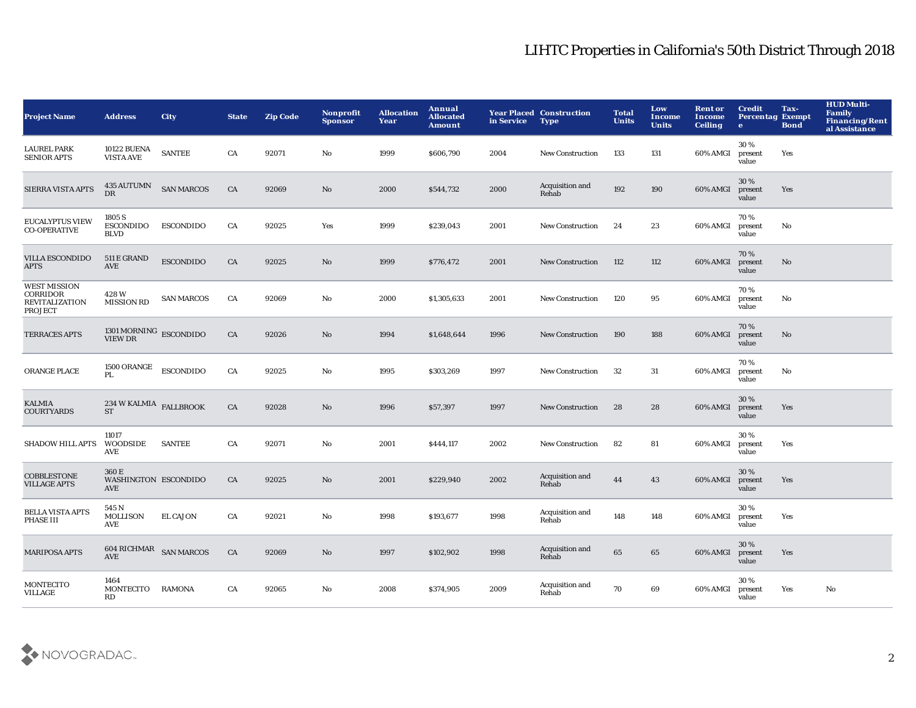| <b>Project Name</b>                                                        | <b>Address</b>                                     | <b>City</b>       | <b>State</b> | <b>Zip Code</b> | Nonprofit<br><b>Sponsor</b> | <b>Allocation</b><br>Year | Annual<br><b>Allocated</b><br><b>Amount</b> | in Service | <b>Year Placed Construction</b><br><b>Type</b> | <b>Total</b><br><b>Units</b> | Low<br><b>Income</b><br><b>Units</b> | <b>Rent or</b><br>Income<br><b>Ceiling</b> | <b>Credit</b><br><b>Percentag Exempt</b><br>$\bullet$ | Tax-<br><b>Bond</b> | <b>HUD Multi-</b><br>Family<br>Financing/Rent<br>al Assistance |
|----------------------------------------------------------------------------|----------------------------------------------------|-------------------|--------------|-----------------|-----------------------------|---------------------------|---------------------------------------------|------------|------------------------------------------------|------------------------------|--------------------------------------|--------------------------------------------|-------------------------------------------------------|---------------------|----------------------------------------------------------------|
| <b>LAUREL PARK</b><br><b>SENIOR APTS</b>                                   | <b>10122 BUENA</b><br><b>VISTA AVE</b>             | <b>SANTEE</b>     | CA           | 92071           | No                          | 1999                      | \$606,790                                   | 2004       | <b>New Construction</b>                        | 133                          | 131                                  | 60% AMGI                                   | 30%<br>present<br>value                               | Yes                 |                                                                |
| <b>SIERRA VISTA APTS</b>                                                   | 435 AUTUMN<br>DR                                   | <b>SAN MARCOS</b> | ${\rm CA}$   | 92069           | No                          | 2000                      | \$544,732                                   | 2000       | Acquisition and<br>Rehab                       | 192                          | 190                                  | 60% AMGI                                   | 30%<br>present<br>value                               | Yes                 |                                                                |
| <b>EUCALYPTUS VIEW</b><br><b>CO-OPERATIVE</b>                              | 1805 S<br><b>ESCONDIDO</b><br><b>BLVD</b>          | <b>ESCONDIDO</b>  | CA           | 92025           | Yes                         | 1999                      | \$239,043                                   | 2001       | <b>New Construction</b>                        | 24                           | 23                                   | 60% AMGI                                   | 70%<br>present<br>value                               | No                  |                                                                |
| <b>VILLA ESCONDIDO</b><br><b>APTS</b>                                      | 511 E GRAND<br>AVE                                 | <b>ESCONDIDO</b>  | ${\rm CA}$   | 92025           | No                          | 1999                      | \$776,472                                   | 2001       | <b>New Construction</b>                        | 112                          | 112                                  | 60% AMGI                                   | 70%<br>present<br>value                               | No                  |                                                                |
| <b>WEST MISSION</b><br>CORRIDOR<br><b>REVITALIZATION</b><br><b>PROJECT</b> | 428W<br><b>MISSION RD</b>                          | <b>SAN MARCOS</b> | CA           | 92069           | No                          | 2000                      | \$1,305,633                                 | 2001       | New Construction                               | 120                          | 95                                   | 60% AMGI                                   | 70%<br>present<br>value                               | No                  |                                                                |
| <b>TERRACES APTS</b>                                                       | $1301\,\mathrm{MORMING}\ \text{ESCOND}$            |                   | CA           | 92026           | No                          | 1994                      | \$1,648,644                                 | 1996       | <b>New Construction</b>                        | 190                          | 188                                  | 60% AMGI                                   | 70%<br>present<br>value                               | No                  |                                                                |
| ORANGE PLACE                                                               | <b>1500 ORANGE</b><br>PL                           | <b>ESCONDIDO</b>  | CA           | 92025           | No                          | 1995                      | \$303,269                                   | 1997       | <b>New Construction</b>                        | 32                           | 31                                   | 60% AMGI                                   | 70%<br>present<br>value                               | No                  |                                                                |
| <b>KALMIA</b><br><b>COURTYARDS</b>                                         | $234\,\rm{W}$ KALMIA $\rm{FALLBROOK}$<br><b>ST</b> |                   | CA           | 92028           | No                          | 1996                      | \$57,397                                    | 1997       | <b>New Construction</b>                        | 28                           | 28                                   | 60% AMGI                                   | 30 %<br>present<br>value                              | Yes                 |                                                                |
| <b>SHADOW HILL APTS</b>                                                    | 11017<br><b>WOODSIDE</b><br>AVE                    | <b>SANTEE</b>     | CA           | 92071           | No                          | 2001                      | \$444,117                                   | 2002       | <b>New Construction</b>                        | 82                           | 81                                   | 60% AMGI                                   | 30%<br>present<br>value                               | Yes                 |                                                                |
| <b>COBBLESTONE</b><br><b>VILLAGE APTS</b>                                  | 360 E<br>WASHINGTON ESCONDIDO<br>AVE               |                   | CA           | 92025           | No                          | 2001                      | \$229,940                                   | 2002       | Acquisition and<br>Rehab                       | 44                           | 43                                   | 60% AMGI                                   | 30%<br>present<br>value                               | Yes                 |                                                                |
| <b>BELLA VISTA APTS</b><br><b>PHASE III</b>                                | 545 N<br><b>MOLLISON</b><br>AVE                    | <b>EL CAJON</b>   | CA           | 92021           | No                          | 1998                      | \$193,677                                   | 1998       | Acquisition and<br>Rehab                       | 148                          | 148                                  | 60% AMGI                                   | 30%<br>present<br>value                               | Yes                 |                                                                |
| <b>MARIPOSA APTS</b>                                                       | 604 RICHMAR SAN MARCOS<br><b>AVE</b>               |                   | CA           | 92069           | No                          | 1997                      | \$102,902                                   | 1998       | Acquisition and<br>Rehab                       | 65                           | 65                                   | 60% AMGI                                   | 30%<br>present<br>value                               | Yes                 |                                                                |
| <b>MONTECITO</b><br>VILLAGE                                                | 1464<br>MONTECITO<br>RD                            | RAMONA            | CA           | 92065           | No                          | 2008                      | \$374,905                                   | 2009       | Acquisition and<br>Rehab                       | 70                           | 69                                   | 60% AMGI                                   | 30%<br>present<br>value                               | Yes                 | No                                                             |

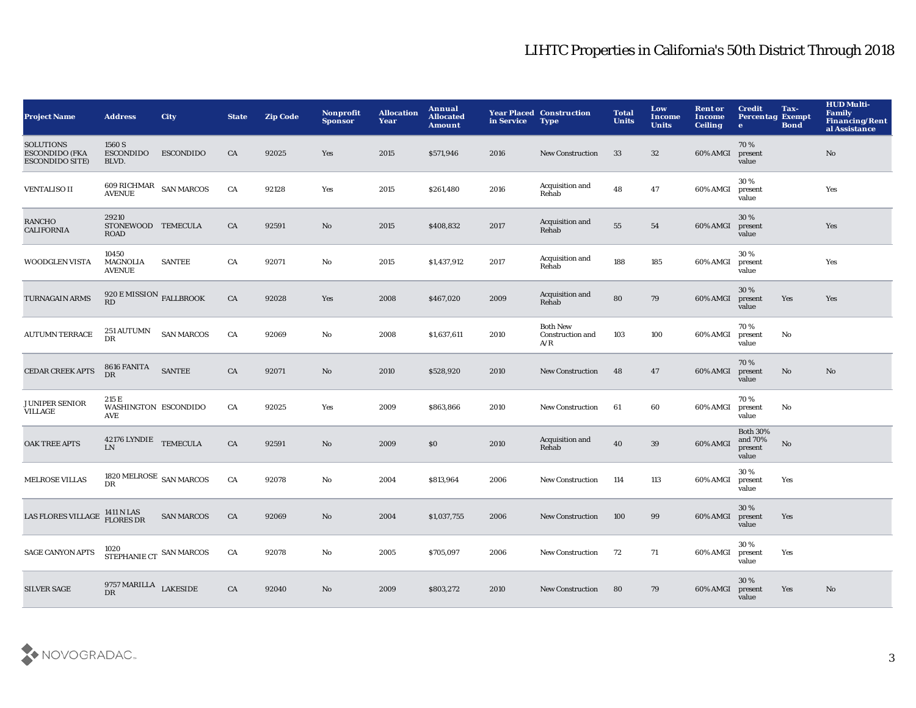| <b>Project Name</b>                                                 | <b>Address</b>                                   | <b>City</b>       | <b>State</b> | <b>Zip Code</b> | Nonprofit<br><b>Sponsor</b> | <b>Allocation</b><br>Year | Annual<br><b>Allocated</b><br><b>Amount</b> | in Service | <b>Year Placed Construction</b><br><b>Type</b> | <b>Total</b><br><b>Units</b> | Low<br>Income<br><b>Units</b> | <b>Rent or</b><br><b>Income</b><br><b>Ceiling</b> | <b>Credit</b><br><b>Percentag Exempt</b><br>$\bullet$ | Tax-<br><b>Bond</b>    | <b>HUD Multi-</b><br><b>Family</b><br>Financing/Rent<br>al Assistance |
|---------------------------------------------------------------------|--------------------------------------------------|-------------------|--------------|-----------------|-----------------------------|---------------------------|---------------------------------------------|------------|------------------------------------------------|------------------------------|-------------------------------|---------------------------------------------------|-------------------------------------------------------|------------------------|-----------------------------------------------------------------------|
| <b>SOLUTIONS</b><br><b>ESCONDIDO (FKA</b><br><b>ESCONDIDO SITE)</b> | 1560 S<br><b>ESCONDIDO</b><br>BLVD.              | <b>ESCONDIDO</b>  | CA           | 92025           | Yes                         | 2015                      | \$571,946                                   | 2016       | <b>New Construction</b>                        | 33                           | 32                            | 60% AMGI                                          | 70%<br>present<br>value                               |                        | No                                                                    |
| <b>VENTALISO II</b>                                                 | $609$ RICHMAR $\;$ SAN MARCOS AVENUE             |                   | ${\rm CA}$   | 92128           | Yes                         | 2015                      | \$261,480                                   | 2016       | Acquisition and<br>Rehab                       | 48                           | 47                            | 60% AMGI                                          | 30%<br>present<br>value                               |                        | Yes                                                                   |
| <b>RANCHO</b><br><b>CALIFORNIA</b>                                  | 29210<br>STONEWOOD TEMECULA<br><b>ROAD</b>       |                   | CA           | 92591           | $\mathbf{N}\mathbf{o}$      | 2015                      | \$408,832                                   | 2017       | Acquisition and<br>Rehab                       | 55                           | 54                            | 60% AMGI                                          | 30%<br>present<br>value                               |                        | Yes                                                                   |
| <b>WOODGLEN VISTA</b>                                               | 10450<br><b>MAGNOLIA</b><br><b>AVENUE</b>        | <b>SANTEE</b>     | CA           | 92071           | No                          | 2015                      | \$1,437,912                                 | 2017       | Acquisition and<br>Rehab                       | 188                          | 185                           | 60% AMGI                                          | 30%<br>present<br>value                               |                        | Yes                                                                   |
| TURNAGAIN ARMS                                                      | $920\,\mathrm{E\,MISSION}$ FALLBROOK<br>RD       |                   | CA           | 92028           | Yes                         | 2008                      | \$467,020                                   | 2009       | Acquisition and<br>Rehab                       | 80                           | 79                            | 60% AMGI                                          | 30%<br>present<br>value                               | Yes                    | Yes                                                                   |
| <b>AUTUMN TERRACE</b>                                               | 251 AUTUMN<br><b>DR</b>                          | <b>SAN MARCOS</b> | CA           | 92069           | $\mathbf{No}$               | 2008                      | \$1,637,611                                 | 2010       | <b>Both New</b><br>Construction and<br>A/R     | 103                          | 100                           | 60% AMGI                                          | 70%<br>present<br>value                               | $\mathbf{N}\mathbf{o}$ |                                                                       |
| <b>CEDAR CREEK APTS</b>                                             | 8616 FANITA<br>DR                                | <b>SANTEE</b>     | ${\rm CA}$   | 92071           | No                          | 2010                      | \$528,920                                   | 2010       | New Construction                               | 48                           | 47                            | 60% AMGI                                          | 70%<br>present<br>value                               | No                     | $\mathbf{N}\mathbf{o}$                                                |
| <b>JUNIPER SENIOR</b><br>VILLAGE                                    | 215 E<br>WASHINGTON ESCONDIDO<br>AVE             |                   | CA           | 92025           | Yes                         | 2009                      | \$863,866                                   | 2010       | New Construction                               | 61                           | 60                            | 60% AMGI                                          | 70%<br>present<br>value                               | No                     |                                                                       |
| <b>OAK TREE APTS</b>                                                | $42176$ LYNDIE $\quad$ TEMECULA<br>I.N           |                   | CA           | 92591           | No                          | 2009                      | \$0\$                                       | 2010       | Acquisition and<br>Rehab                       | 40                           | $39\,$                        | 60% AMGI                                          | <b>Both 30%</b><br>and 70%<br>present<br>value        | No                     |                                                                       |
| <b>MELROSE VILLAS</b>                                               | $1820\,\mathrm{MELROSE}$ SAN MARCOS<br><b>DR</b> |                   | CA           | 92078           | No                          | 2004                      | \$813,964                                   | 2006       | <b>New Construction</b>                        | 114                          | 113                           | 60% AMGI                                          | 30%<br>present<br>value                               | Yes                    |                                                                       |
| <b>LAS FLORES VILLAGE</b>                                           | 1411 N LAS<br>FLORES DR                          | <b>SAN MARCOS</b> | CA           | 92069           | No                          | 2004                      | \$1,037,755                                 | 2006       | <b>New Construction</b>                        | 100                          | 99                            | 60% AMGI                                          | 30%<br>present<br>value                               | Yes                    |                                                                       |
| <b>SAGE CANYON APTS</b>                                             | 1020<br>STEPHANIE CT SAN MARCOS                  |                   | CA           | 92078           | No                          | 2005                      | \$705,097                                   | 2006       | <b>New Construction</b>                        | 72                           | 71                            | 60% AMGI                                          | 30%<br>present<br>value                               | Yes                    |                                                                       |
| <b>SILVER SAGE</b>                                                  | 9757 MARILLA LAKESIDE<br><b>DR</b>               |                   | CA           | 92040           | No                          | 2009                      | \$803,272                                   | 2010       | <b>New Construction</b>                        | 80                           | 79                            | 60% AMGI                                          | 30%<br>present<br>value                               | Yes                    | No                                                                    |

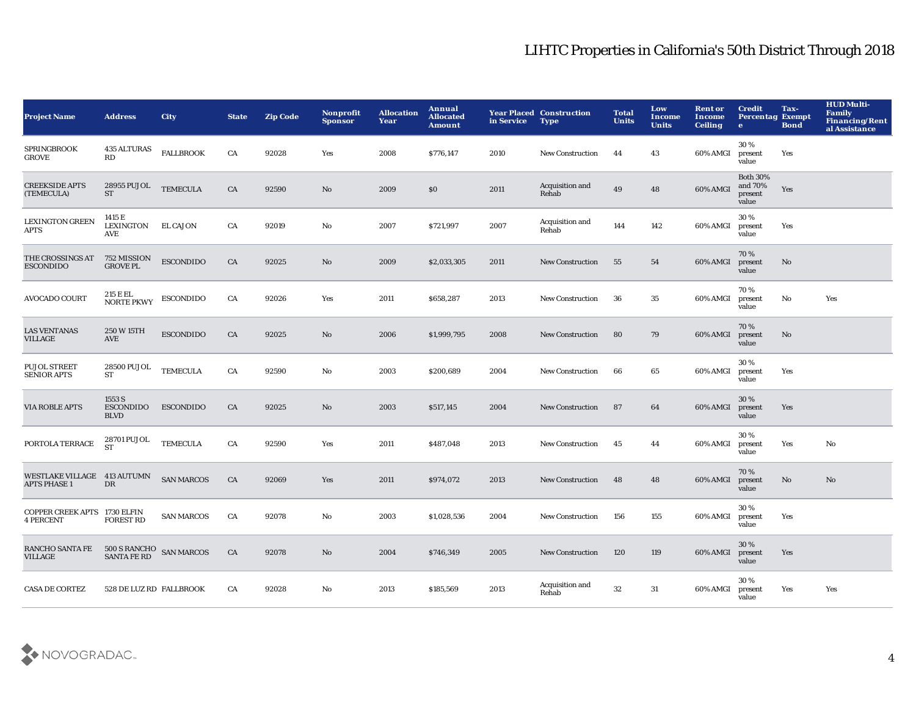| <b>Project Name</b>                                | <b>Address</b>                             | <b>City</b>       | <b>State</b> | <b>Zip Code</b> | Nonprofit<br><b>Sponsor</b> | <b>Allocation</b><br>Year | Annual<br><b>Allocated</b><br><b>Amount</b> | in Service | <b>Year Placed Construction</b><br><b>Type</b> | <b>Total</b><br><b>Units</b> | Low<br><b>Income</b><br><b>Units</b> | <b>Rent or</b><br>Income<br><b>Ceiling</b> | <b>Credit</b><br><b>Percentag Exempt</b><br>$\bullet$ | Tax-<br><b>Bond</b> | <b>HUD Multi-</b><br><b>Family</b><br><b>Financing/Rent</b><br>al Assistance |
|----------------------------------------------------|--------------------------------------------|-------------------|--------------|-----------------|-----------------------------|---------------------------|---------------------------------------------|------------|------------------------------------------------|------------------------------|--------------------------------------|--------------------------------------------|-------------------------------------------------------|---------------------|------------------------------------------------------------------------------|
| <b>SPRINGBROOK</b><br>GROVE                        | <b>435 ALTURAS</b><br>RD                   | <b>FALLBROOK</b>  | CA           | 92028           | Yes                         | 2008                      | \$776,147                                   | 2010       | <b>New Construction</b>                        | 44                           | 43                                   | 60% AMGI                                   | 30%<br>present<br>value                               | Yes                 |                                                                              |
| <b>CREEKSIDE APTS</b><br>(TEMECULA)                | 28955 PUJOL<br>ST                          | <b>TEMECULA</b>   | CA           | 92590           | No                          | 2009                      | \$0                                         | 2011       | Acquisition and<br>Rehab                       | 49                           | 48                                   | 60% AMGI                                   | <b>Both 30%</b><br>and 70%<br>present<br>value        | Yes                 |                                                                              |
| <b>LEXINGTON GREEN</b><br>APTS                     | 1415 E<br>LEXINGTON<br>AVE                 | <b>EL CAJON</b>   | CA           | 92019           | No                          | 2007                      | \$721,997                                   | 2007       | Acquisition and<br>Rehab                       | 144                          | 142                                  | 60% AMGI                                   | 30%<br>present<br>value                               | Yes                 |                                                                              |
| THE CROSSINGS AT<br><b>ESCONDIDO</b>               | 752 MISSION<br><b>GROVE PL</b>             | <b>ESCONDIDO</b>  | CA           | 92025           | No                          | 2009                      | \$2,033,305                                 | 2011       | <b>New Construction</b>                        | 55                           | 54                                   | 60% AMGI                                   | 70%<br>present<br>value                               | No                  |                                                                              |
| <b>AVOCADO COURT</b>                               | 215 E EL<br><b>NORTE PKWY</b>              | <b>ESCONDIDO</b>  | CA           | 92026           | Yes                         | 2011                      | \$658,287                                   | 2013       | <b>New Construction</b>                        | 36                           | 35                                   | 60% AMGI                                   | 70%<br>present<br>value                               | No                  | Yes                                                                          |
| <b>LAS VENTANAS</b><br><b>VILLAGE</b>              | 250 W 15TH<br>AVE                          | <b>ESCONDIDO</b>  | CA           | 92025           | No                          | 2006                      | \$1,999,795                                 | 2008       | <b>New Construction</b>                        | 80                           | 79                                   | 60% AMGI                                   | 70%<br>present<br>value                               | No                  |                                                                              |
| <b>PUJOL STREET</b><br><b>SENIOR APTS</b>          | <b>28500 PUJOL</b><br>ST                   | <b>TEMECULA</b>   | CA           | 92590           | No                          | 2003                      | \$200,689                                   | 2004       | <b>New Construction</b>                        | 66                           | 65                                   | 60% AMGI                                   | 30%<br>present<br>value                               | Yes                 |                                                                              |
| <b>VIA ROBLE APTS</b>                              | 1553 S<br><b>ESCONDIDO</b><br><b>BLVD</b>  | <b>ESCONDIDO</b>  | CA           | 92025           | No                          | 2003                      | \$517,145                                   | 2004       | <b>New Construction</b>                        | 87                           | 64                                   | 60% AMGI                                   | 30%<br>present<br>value                               | Yes                 |                                                                              |
| PORTOLA TERRACE                                    | 28701 PUJOL<br><b>ST</b>                   | <b>TEMECULA</b>   | CA           | 92590           | Yes                         | 2011                      | \$487,048                                   | 2013       | <b>New Construction</b>                        | 45                           | 44                                   | 60% AMGI                                   | 30%<br>present<br>value                               | Yes                 | No                                                                           |
| WESTLAKE VILLAGE 413 AUTUMN<br><b>APTS PHASE 1</b> | $_{\rm DR}$                                | <b>SAN MARCOS</b> | CA           | 92069           | Yes                         | 2011                      | \$974,072                                   | 2013       | <b>New Construction</b>                        | 48                           | 48                                   | 60% AMGI                                   | 70%<br>present<br>value                               | No                  | No                                                                           |
| COPPER CREEK APTS 1730 ELFIN<br><b>4 PERCENT</b>   | <b>FOREST RD</b>                           | <b>SAN MARCOS</b> | CA           | 92078           | No                          | 2003                      | \$1,028,536                                 | 2004       | <b>New Construction</b>                        | 156                          | 155                                  | 60% AMGI                                   | 30%<br>present<br>value                               | Yes                 |                                                                              |
| RANCHO SANTA FE<br><b>VILLAGE</b>                  | 500 S RANCHO<br>SANTA FE RD<br>SANTA FE RD |                   | CA           | 92078           | No                          | 2004                      | \$746,349                                   | 2005       | <b>New Construction</b>                        | 120                          | 119                                  | 60% AMGI                                   | 30%<br>present<br>value                               | Yes                 |                                                                              |
| <b>CASA DE CORTEZ</b>                              | 528 DE LUZ RD FALLBROOK                    |                   | CA           | 92028           | No                          | 2013                      | \$185,569                                   | 2013       | Acquisition and<br>Rehab                       | 32                           | 31                                   | 60% AMGI                                   | 30%<br>present<br>value                               | Yes                 | Yes                                                                          |

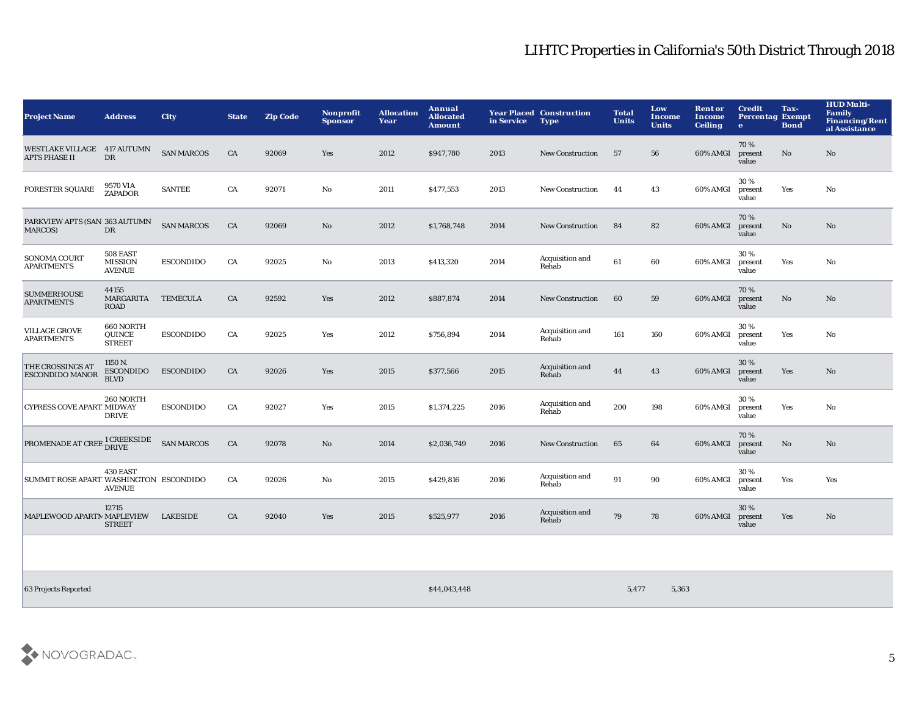| <b>Project Name</b>                             | <b>Address</b>                              | <b>City</b>       | <b>State</b> | <b>Zip Code</b> | <b>Nonprofit</b><br><b>Sponsor</b> | <b>Allocation</b><br>Year | Annual<br><b>Allocated</b><br><b>Amount</b> | in Service | <b>Year Placed Construction</b><br><b>Type</b> | <b>Total</b><br><b>Units</b> | Low<br><b>Income</b><br><b>Units</b> | <b>Rent or</b><br><b>Income</b><br><b>Ceiling</b> | <b>Credit</b><br><b>Percentag Exempt</b><br>e | Tax-<br><b>Bond</b>    | <b>HUD Multi-</b><br>Family<br><b>Financing/Rent</b><br>al Assistance |
|-------------------------------------------------|---------------------------------------------|-------------------|--------------|-----------------|------------------------------------|---------------------------|---------------------------------------------|------------|------------------------------------------------|------------------------------|--------------------------------------|---------------------------------------------------|-----------------------------------------------|------------------------|-----------------------------------------------------------------------|
| <b>WESTLAKE VILLAGE</b><br><b>APTS PHASE II</b> | <b>417 AUTUMN</b><br>DR                     | <b>SAN MARCOS</b> | CA           | 92069           | Yes                                | 2012                      | \$947,780                                   | 2013       | <b>New Construction</b>                        | 57                           | 56                                   | 60% AMGI                                          | 70%<br>present<br>value                       | $\mathbf{N}\mathbf{o}$ | No                                                                    |
| <b>FORESTER SQUARE</b>                          | 9570 VIA<br>ZAPADOR                         | <b>SANTEE</b>     | CA           | 92071           | No                                 | 2011                      | \$477,553                                   | 2013       | <b>New Construction</b>                        | 44                           | 43                                   | 60% AMGI                                          | 30%<br>present<br>value                       | Yes                    | No                                                                    |
| PARKVIEW APTS (SAN 363 AUTUMN<br>MARCOS)        | DR                                          | <b>SAN MARCOS</b> | CA           | 92069           | $\mathbf{No}$                      | 2012                      | \$1,768,748                                 | 2014       | <b>New Construction</b>                        | 84                           | 82                                   | 60% AMGI                                          | 70%<br>present<br>value                       | No                     | No                                                                    |
| SONOMA COURT<br><b>APARTMENTS</b>               | 508 EAST<br><b>MISSION</b><br><b>AVENUE</b> | <b>ESCONDIDO</b>  | CA           | 92025           | No                                 | 2013                      | \$413,320                                   | 2014       | Acquisition and<br>Rehab                       | 61                           | 60                                   | 60% AMGI                                          | 30%<br>present<br>value                       | Yes                    | No                                                                    |
| <b>SUMMERHOUSE</b><br><b>APARTMENTS</b>         | 44155<br>MARGARITA<br><b>ROAD</b>           | <b>TEMECULA</b>   | CA           | 92592           | Yes                                | 2012                      | \$887,874                                   | 2014       | <b>New Construction</b>                        | 60                           | 59                                   | 60% AMGI                                          | 70%<br>present<br>value                       | No                     | No                                                                    |
| <b>VILLAGE GROVE</b><br><b>APARTMENTS</b>       | 660 NORTH<br>QUINCE<br><b>STREET</b>        | <b>ESCONDIDO</b>  | CA           | 92025           | Yes                                | 2012                      | \$756,894                                   | 2014       | Acquisition and<br>Rehab                       | 161                          | 160                                  | 60% AMGI                                          | 30%<br>present<br>value                       | Yes                    | No                                                                    |
| THE CROSSINGS AT<br><b>ESCONDIDO MANOR</b>      | 1150 N.<br><b>ESCONDIDO</b><br><b>BLVD</b>  | <b>ESCONDIDO</b>  | CA           | 92026           | Yes                                | 2015                      | \$377,566                                   | 2015       | Acquisition and<br>Rehab                       | 44                           | 43                                   | 60% AMGI                                          | 30%<br>present<br>value                       | Yes                    | No                                                                    |
| <b>CYPRESS COVE APART MIDWAY</b>                | 260 NORTH<br><b>DRIVE</b>                   | <b>ESCONDIDO</b>  | CA           | 92027           | Yes                                | 2015                      | \$1,374,225                                 | 2016       | Acquisition and<br>Rehab                       | 200                          | 198                                  | 60% AMGI                                          | 30%<br>present<br>value                       | Yes                    | No                                                                    |
| PROMENADE AT CREE <sup>1</sup> CREEKSIDE        |                                             | <b>SAN MARCOS</b> | CA           | 92078           | No                                 | 2014                      | \$2,036,749                                 | 2016       | <b>New Construction</b>                        | 65                           | 64                                   | 60% AMGI                                          | 70%<br>present<br>value                       | No                     | No                                                                    |
| SUMMIT ROSE APARTIWASHINGTON ESCONDIDO          | 430 EAST<br><b>AVENUE</b>                   |                   | CA           | 92026           | No                                 | 2015                      | \$429,816                                   | 2016       | Acquisition and<br>Rehab                       | 91                           | 90                                   | 60% AMGI                                          | 30%<br>present<br>value                       | Yes                    | Yes                                                                   |
| MAPLEWOOD APARTM MAPLEVIEW                      | 12715<br><b>STREET</b>                      | <b>LAKESIDE</b>   | CA           | 92040           | Yes                                | 2015                      | \$525,977                                   | 2016       | Acquisition and<br>Rehab                       | 79                           | 78                                   | 60% AMGI                                          | 30%<br>present<br>value                       | Yes                    | No                                                                    |
|                                                 |                                             |                   |              |                 |                                    |                           |                                             |            |                                                |                              |                                      |                                                   |                                               |                        |                                                                       |

63 Projects Reported \$44,043,448 5,477 5,363